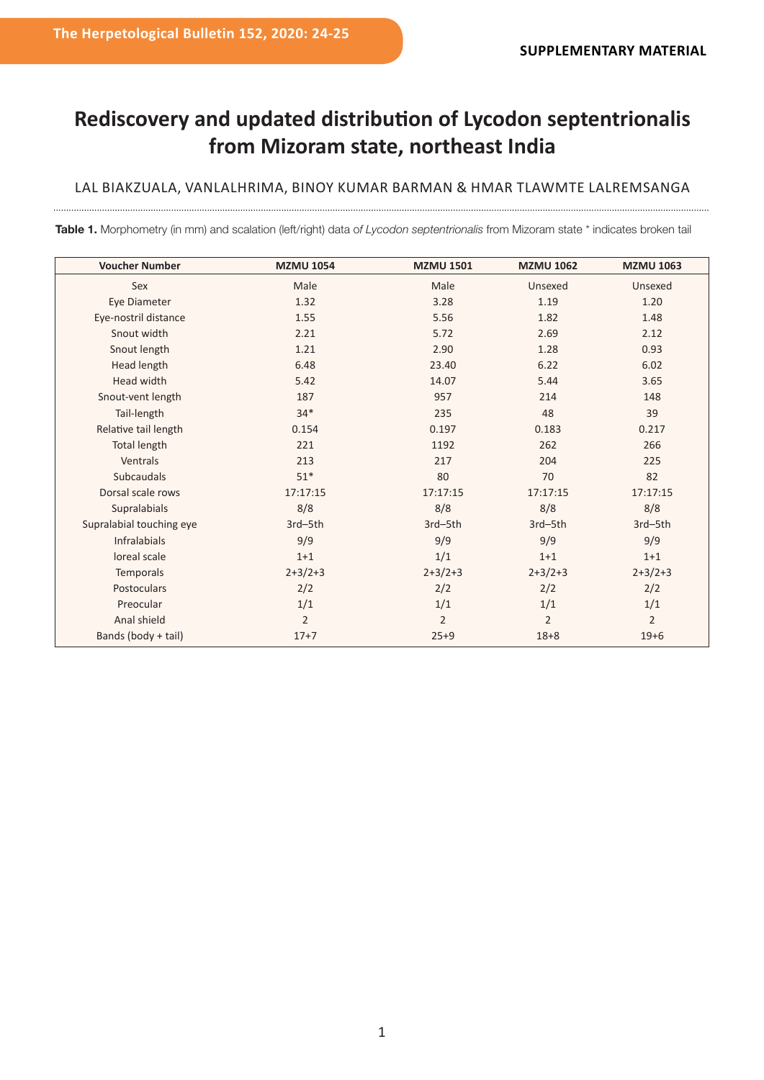## **Rediscovery and updated distribution of Lycodon septentrionalis from Mizoram state, northeast India**

## LAL BIAKZUALA, VANLALHRIMA, BINOY KUMAR BARMAN & HMAR TLAWMTE LALREMSANGA

**Table 1.** Morphometry (in mm) and scalation (left/right) data o*f Lycodon septentrionalis* from Mizoram state \* indicates broken tail

| <b>Voucher Number</b>    | <b>MZMU 1054</b> | <b>MZMU 1501</b> | <b>MZMU 1062</b> | <b>MZMU 1063</b> |
|--------------------------|------------------|------------------|------------------|------------------|
| Sex                      | Male             | Male             | Unsexed          | Unsexed          |
| Eye Diameter             | 1.32             | 3.28             | 1.19             | 1.20             |
| Eye-nostril distance     | 1.55             | 5.56             | 1.82             | 1.48             |
| Snout width              | 2.21             | 5.72             | 2.69             | 2.12             |
| Snout length             | 1.21             | 2.90             | 1.28             | 0.93             |
| Head length              | 6.48             | 23.40            | 6.22             | 6.02             |
| Head width               | 5.42             | 14.07            | 5.44             | 3.65             |
| Snout-vent length        | 187              | 957              | 214              | 148              |
| Tail-length              | $34*$            | 235              | 48               | 39               |
| Relative tail length     | 0.154            | 0.197            | 0.183            | 0.217            |
| <b>Total length</b>      | 221              | 1192             | 262              | 266              |
| Ventrals                 | 213              | 217              | 204              | 225              |
| Subcaudals               | $51*$            | 80               | 70               | 82               |
| Dorsal scale rows        | 17:17:15         | 17:17:15         | 17:17:15         | 17:17:15         |
| Supralabials             | 8/8              | 8/8              | 8/8              | 8/8              |
| Supralabial touching eye | 3rd-5th          | 3rd-5th          | 3rd-5th          | 3rd-5th          |
| <b>Infralabials</b>      | 9/9              | 9/9              | 9/9              | 9/9              |
| loreal scale             | $1+1$            | 1/1              | $1+1$            | $1+1$            |
| Temporals                | $2+3/2+3$        | $2+3/2+3$        | $2+3/2+3$        | $2+3/2+3$        |
| Postoculars              | 2/2              | 2/2              | 2/2              | 2/2              |
| Preocular                | 1/1              | 1/1              | 1/1              | 1/1              |
| Anal shield              | $\overline{2}$   | $\overline{2}$   | $\overline{2}$   | $\overline{2}$   |
| Bands (body + tail)      | $17 + 7$         | $25 + 9$         | $18 + 8$         | $19 + 6$         |